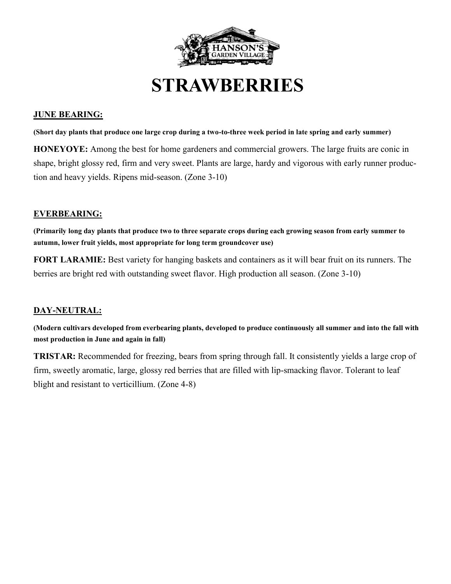

**STRAWBERRIES**

## **JUNE BEARING:**

**(Short day plants that produce one large crop during a two-to-three week period in late spring and early summer)**

**HONEYOYE:** Among the best for home gardeners and commercial growers. The large fruits are conic in shape, bright glossy red, firm and very sweet. Plants are large, hardy and vigorous with early runner production and heavy yields. Ripens mid-season. (Zone 3-10)

#### **EVERBEARING:**

**(Primarily long day plants that produce two to three separate crops during each growing season from early summer to autumn, lower fruit yields, most appropriate for long term groundcover use)** 

**FORT LARAMIE:** Best variety for hanging baskets and containers as it will bear fruit on its runners. The berries are bright red with outstanding sweet flavor. High production all season. (Zone 3-10)

### **DAY-NEUTRAL:**

**(Modern cultivars developed from everbearing plants, developed to produce continuously all summer and into the fall with most production in June and again in fall)**

**TRISTAR:** Recommended for freezing, bears from spring through fall. It consistently yields a large crop of firm, sweetly aromatic, large, glossy red berries that are filled with lip-smacking flavor. Tolerant to leaf blight and resistant to verticillium. (Zone 4-8)